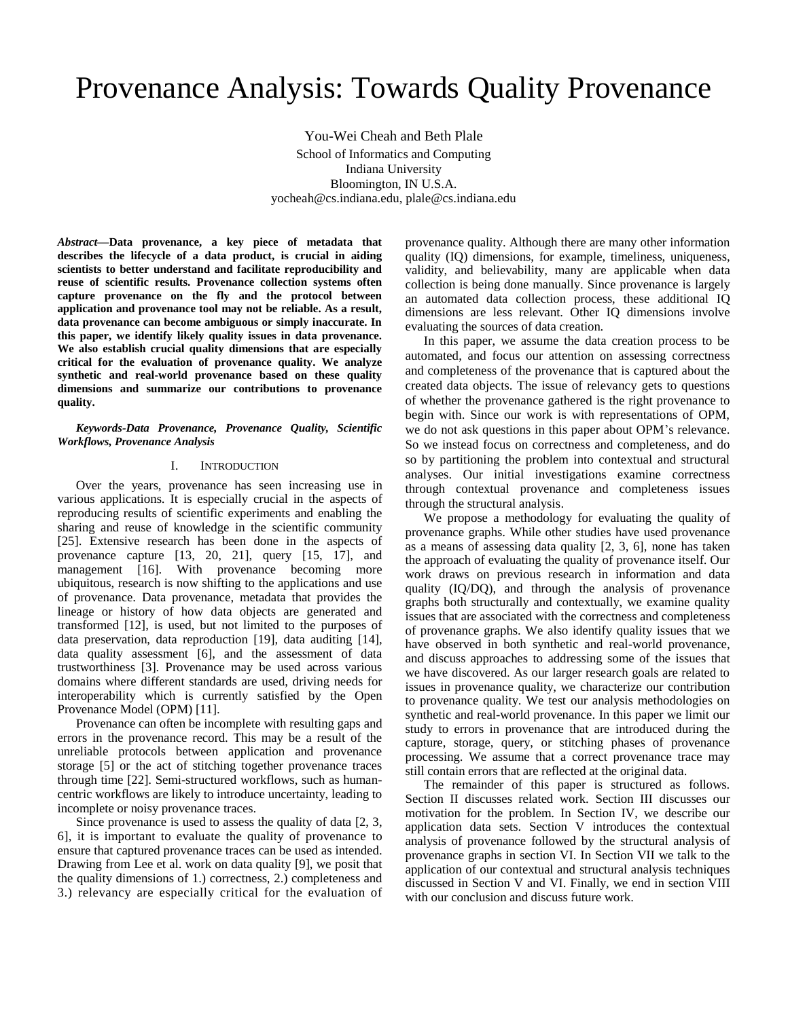# Provenance Analysis: Towards Quality Provenance

You-Wei Cheah and Beth Plale School of Informatics and Computing Indiana University Bloomington, IN U.S.A. yocheah@cs.indiana.edu, plale@cs.indiana.edu

*Abstract***—Data provenance, a key piece of metadata that describes the lifecycle of a data product, is crucial in aiding scientists to better understand and facilitate reproducibility and reuse of scientific results. Provenance collection systems often capture provenance on the fly and the protocol between application and provenance tool may not be reliable. As a result, data provenance can become ambiguous or simply inaccurate. In this paper, we identify likely quality issues in data provenance. We also establish crucial quality dimensions that are especially critical for the evaluation of provenance quality. We analyze synthetic and real-world provenance based on these quality dimensions and summarize our contributions to provenance quality.**

#### *Keywords-Data Provenance, Provenance Quality, Scientific Workflows, Provenance Analysis*

#### I. INTRODUCTION

Over the years, provenance has seen increasing use in various applications. It is especially crucial in the aspects of reproducing results of scientific experiments and enabling the sharing and reuse of knowledge in the scientific community [25]. Extensive research has been done in the aspects of provenance capture [13, 20, 21], query [15, 17], and management [16]. With provenance becoming more ubiquitous, research is now shifting to the applications and use of provenance. Data provenance, metadata that provides the lineage or history of how data objects are generated and transformed [12], is used, but not limited to the purposes of data preservation, data reproduction [19], data auditing [14], data quality assessment [6], and the assessment of data trustworthiness [3]. Provenance may be used across various domains where different standards are used, driving needs for interoperability which is currently satisfied by the Open Provenance Model (OPM) [11].

Provenance can often be incomplete with resulting gaps and errors in the provenance record. This may be a result of the unreliable protocols between application and provenance storage [5] or the act of stitching together provenance traces through time [22]. Semi-structured workflows, such as humancentric workflows are likely to introduce uncertainty, leading to incomplete or noisy provenance traces.

Since provenance is used to assess the quality of data [2, 3, 6], it is important to evaluate the quality of provenance to ensure that captured provenance traces can be used as intended. Drawing from Lee et al. work on data quality [9], we posit that the quality dimensions of 1.) correctness, 2.) completeness and 3.) relevancy are especially critical for the evaluation of provenance quality. Although there are many other information quality (IQ) dimensions, for example, timeliness, uniqueness, validity, and believability, many are applicable when data collection is being done manually. Since provenance is largely an automated data collection process, these additional IQ dimensions are less relevant. Other IQ dimensions involve evaluating the sources of data creation.

In this paper, we assume the data creation process to be automated, and focus our attention on assessing correctness and completeness of the provenance that is captured about the created data objects. The issue of relevancy gets to questions of whether the provenance gathered is the right provenance to begin with. Since our work is with representations of OPM, we do not ask questions in this paper about OPM's relevance. So we instead focus on correctness and completeness, and do so by partitioning the problem into contextual and structural analyses. Our initial investigations examine correctness through contextual provenance and completeness issues through the structural analysis.

We propose a methodology for evaluating the quality of provenance graphs. While other studies have used provenance as a means of assessing data quality [2, 3, 6], none has taken the approach of evaluating the quality of provenance itself. Our work draws on previous research in information and data quality (IQ/DQ), and through the analysis of provenance graphs both structurally and contextually, we examine quality issues that are associated with the correctness and completeness of provenance graphs. We also identify quality issues that we have observed in both synthetic and real-world provenance, and discuss approaches to addressing some of the issues that we have discovered. As our larger research goals are related to issues in provenance quality, we characterize our contribution to provenance quality. We test our analysis methodologies on synthetic and real-world provenance. In this paper we limit our study to errors in provenance that are introduced during the capture, storage, query, or stitching phases of provenance processing. We assume that a correct provenance trace may still contain errors that are reflected at the original data.

The remainder of this paper is structured as follows. Section II discusses related work. Section III discusses our motivation for the problem. In Section IV, we describe our application data sets. Section V introduces the contextual analysis of provenance followed by the structural analysis of provenance graphs in section VI. In Section VII we talk to the application of our contextual and structural analysis techniques discussed in Section V and VI. Finally, we end in section VIII with our conclusion and discuss future work.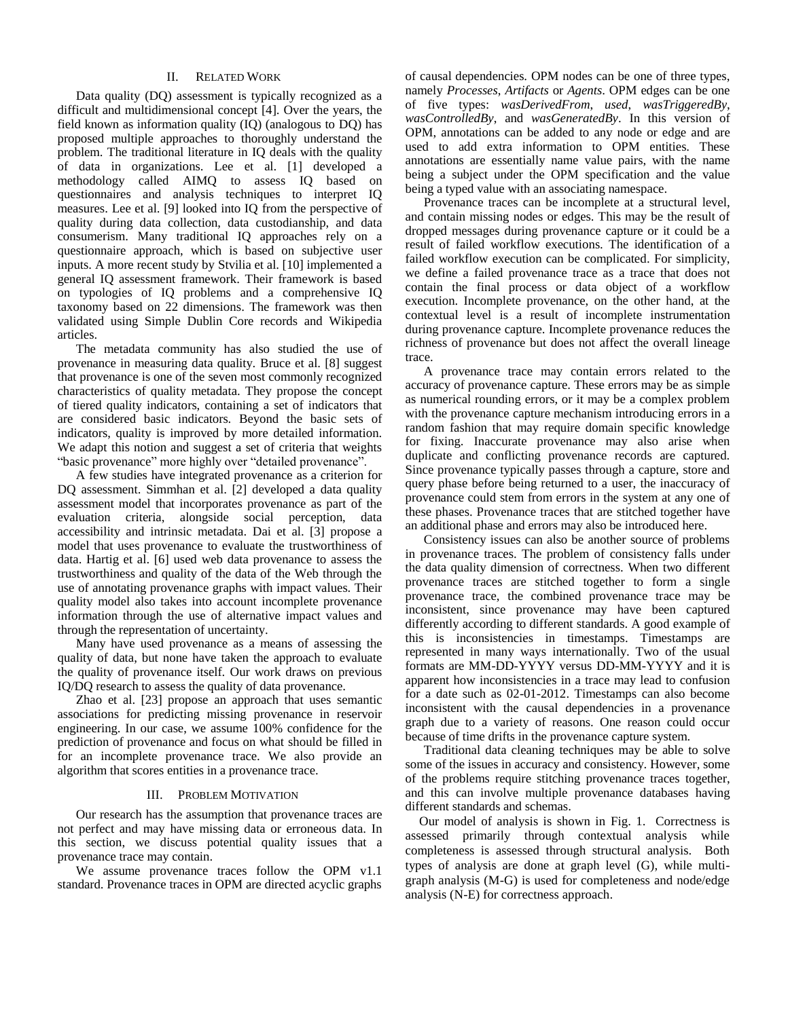### II. RELATED WORK

Data quality (DQ) assessment is typically recognized as a difficult and multidimensional concept [4]. Over the years, the field known as information quality (IQ) (analogous to DQ) has proposed multiple approaches to thoroughly understand the problem. The traditional literature in IQ deals with the quality of data in organizations. Lee et al. [1] developed a methodology called AIMQ to assess IQ based on questionnaires and analysis techniques to interpret IQ measures. Lee et al. [9] looked into IQ from the perspective of quality during data collection, data custodianship, and data consumerism. Many traditional IQ approaches rely on a questionnaire approach, which is based on subjective user inputs. A more recent study by Stvilia et al. [10] implemented a general IQ assessment framework. Their framework is based on typologies of IQ problems and a comprehensive IQ taxonomy based on 22 dimensions. The framework was then validated using Simple Dublin Core records and Wikipedia articles.

The metadata community has also studied the use of provenance in measuring data quality. Bruce et al. [8] suggest that provenance is one of the seven most commonly recognized characteristics of quality metadata. They propose the concept of tiered quality indicators, containing a set of indicators that are considered basic indicators. Beyond the basic sets of indicators, quality is improved by more detailed information. We adapt this notion and suggest a set of criteria that weights "basic provenance" more highly over "detailed provenance".

A few studies have integrated provenance as a criterion for DQ assessment. Simmhan et al. [2] developed a data quality assessment model that incorporates provenance as part of the evaluation criteria, alongside social perception, data accessibility and intrinsic metadata. Dai et al. [3] propose a model that uses provenance to evaluate the trustworthiness of data. Hartig et al. [6] used web data provenance to assess the trustworthiness and quality of the data of the Web through the use of annotating provenance graphs with impact values. Their quality model also takes into account incomplete provenance information through the use of alternative impact values and through the representation of uncertainty.

Many have used provenance as a means of assessing the quality of data, but none have taken the approach to evaluate the quality of provenance itself. Our work draws on previous IQ/DQ research to assess the quality of data provenance.

Zhao et al. [23] propose an approach that uses semantic associations for predicting missing provenance in reservoir engineering. In our case, we assume 100% confidence for the prediction of provenance and focus on what should be filled in for an incomplete provenance trace. We also provide an algorithm that scores entities in a provenance trace.

## III. PROBLEM MOTIVATION

Our research has the assumption that provenance traces are not perfect and may have missing data or erroneous data. In this section, we discuss potential quality issues that a provenance trace may contain.

We assume provenance traces follow the OPM v1.1 standard. Provenance traces in OPM are directed acyclic graphs of causal dependencies. OPM nodes can be one of three types, namely *Processes*, *Artifacts* or *Agents*. OPM edges can be one of five types: *wasDerivedFrom*, *used*, *wasTriggeredBy*, *wasControlledBy*, and *wasGeneratedBy*. In this version of OPM, annotations can be added to any node or edge and are used to add extra information to OPM entities. These annotations are essentially name value pairs, with the name being a subject under the OPM specification and the value being a typed value with an associating namespace.

Provenance traces can be incomplete at a structural level, and contain missing nodes or edges. This may be the result of dropped messages during provenance capture or it could be a result of failed workflow executions. The identification of a failed workflow execution can be complicated. For simplicity, we define a failed provenance trace as a trace that does not contain the final process or data object of a workflow execution. Incomplete provenance, on the other hand, at the contextual level is a result of incomplete instrumentation during provenance capture. Incomplete provenance reduces the richness of provenance but does not affect the overall lineage trace.

A provenance trace may contain errors related to the accuracy of provenance capture. These errors may be as simple as numerical rounding errors, or it may be a complex problem with the provenance capture mechanism introducing errors in a random fashion that may require domain specific knowledge for fixing. Inaccurate provenance may also arise when duplicate and conflicting provenance records are captured. Since provenance typically passes through a capture, store and query phase before being returned to a user, the inaccuracy of provenance could stem from errors in the system at any one of these phases. Provenance traces that are stitched together have an additional phase and errors may also be introduced here.

Consistency issues can also be another source of problems in provenance traces. The problem of consistency falls under the data quality dimension of correctness. When two different provenance traces are stitched together to form a single provenance trace, the combined provenance trace may be inconsistent, since provenance may have been captured differently according to different standards. A good example of this is inconsistencies in timestamps. Timestamps are represented in many ways internationally. Two of the usual formats are MM-DD-YYYY versus DD-MM-YYYY and it is apparent how inconsistencies in a trace may lead to confusion for a date such as 02-01-2012. Timestamps can also become inconsistent with the causal dependencies in a provenance graph due to a variety of reasons. One reason could occur because of time drifts in the provenance capture system.

Traditional data cleaning techniques may be able to solve some of the issues in accuracy and consistency. However, some of the problems require stitching provenance traces together, and this can involve multiple provenance databases having different standards and schemas.

Our model of analysis is shown in Fig. 1. Correctness is assessed primarily through contextual analysis while completeness is assessed through structural analysis. Both types of analysis are done at graph level (G), while multigraph analysis (M-G) is used for completeness and node/edge analysis (N-E) for correctness approach.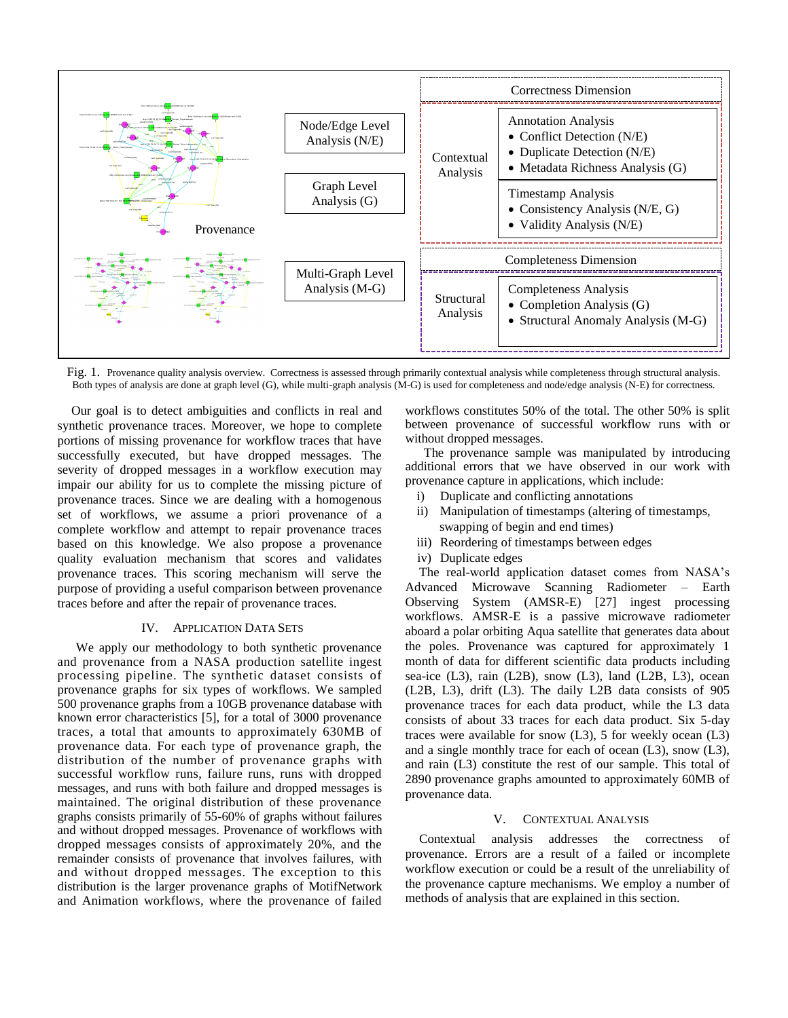

Fig. 1. Provenance quality analysis overview. Correctness is assessed through primarily contextual analysis while completeness through structural analysis. Both types of analysis are done at graph level (G), while multi-graph analysis (M-G) is used for completeness and node/edge analysis (N-E) for correctness.

Our goal is to detect ambiguities and conflicts in real and synthetic provenance traces. Moreover, we hope to complete portions of missing provenance for workflow traces that have successfully executed, but have dropped messages. The severity of dropped messages in a workflow execution may impair our ability for us to complete the missing picture of provenance traces. Since we are dealing with a homogenous set of workflows, we assume a priori provenance of a complete workflow and attempt to repair provenance traces based on this knowledge. We also propose a provenance quality evaluation mechanism that scores and validates provenance traces. This scoring mechanism will serve the purpose of providing a useful comparison between provenance traces before and after the repair of provenance traces.

# IV. APPLICATION DATA SETS

We apply our methodology to both synthetic provenance and provenance from a NASA production satellite ingest processing pipeline. The synthetic dataset consists of provenance graphs for six types of workflows. We sampled 500 provenance graphs from a 10GB provenance database with known error characteristics [5], for a total of 3000 provenance traces, a total that amounts to approximately 630MB of provenance data. For each type of provenance graph, the distribution of the number of provenance graphs with successful workflow runs, failure runs, runs with dropped messages, and runs with both failure and dropped messages is maintained. The original distribution of these provenance graphs consists primarily of 55-60% of graphs without failures and without dropped messages. Provenance of workflows with dropped messages consists of approximately 20%, and the remainder consists of provenance that involves failures, with and without dropped messages. The exception to this distribution is the larger provenance graphs of MotifNetwork and Animation workflows, where the provenance of failed

workflows constitutes 50% of the total. The other 50% is split between provenance of successful workflow runs with or without dropped messages.

The provenance sample was manipulated by introducing additional errors that we have observed in our work with provenance capture in applications, which include:

- i) Duplicate and conflicting annotations
- ii) Manipulation of timestamps (altering of timestamps,
- swapping of begin and end times)
- iii) Reordering of timestamps between edges
- iv) Duplicate edges

The real-world application dataset comes from NASA's Advanced Microwave Scanning Radiometer – Earth Observing System (AMSR-E) [27] ingest processing workflows. AMSR-E is a passive microwave radiometer aboard a polar orbiting Aqua satellite that generates data about the poles. Provenance was captured for approximately 1 month of data for different scientific data products including sea-ice (L3), rain (L2B), snow (L3), land (L2B, L3), ocean (L2B, L3), drift (L3). The daily L2B data consists of 905 provenance traces for each data product, while the L3 data consists of about 33 traces for each data product. Six 5-day traces were available for snow (L3), 5 for weekly ocean (L3) and a single monthly trace for each of ocean (L3), snow (L3), and rain (L3) constitute the rest of our sample. This total of 2890 provenance graphs amounted to approximately 60MB of provenance data.

# V. CONTEXTUAL ANALYSIS

Contextual analysis addresses the correctness of provenance. Errors are a result of a failed or incomplete workflow execution or could be a result of the unreliability of the provenance capture mechanisms. We employ a number of methods of analysis that are explained in this section.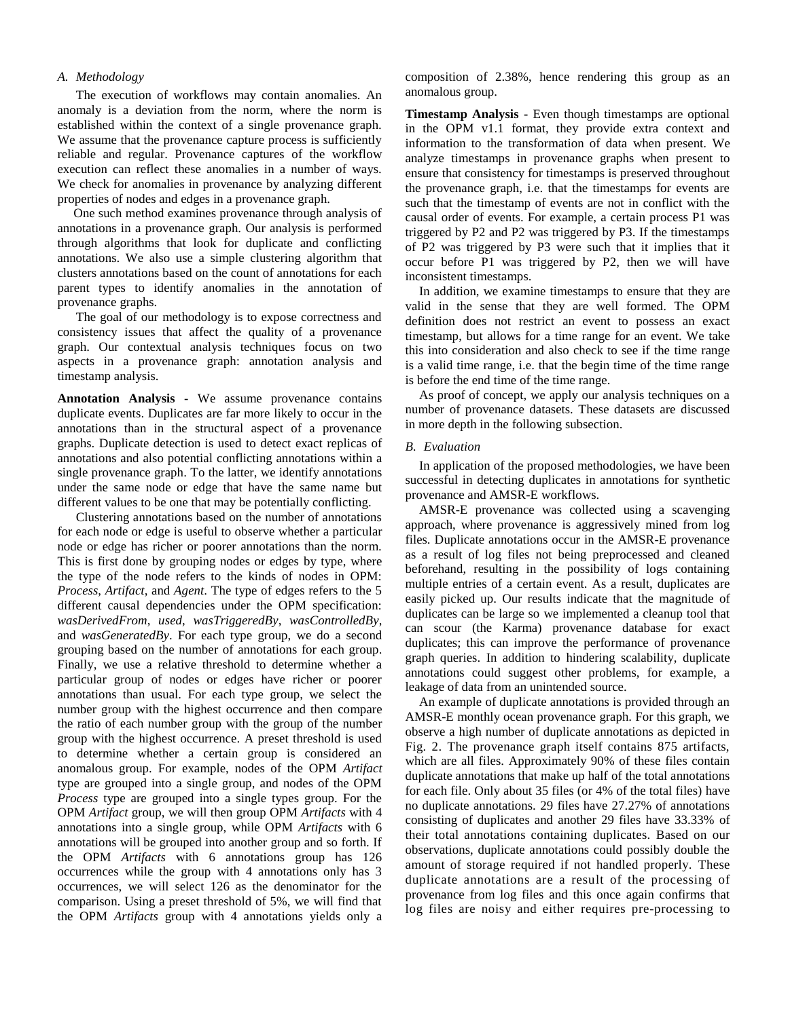# *A. Methodology*

The execution of workflows may contain anomalies. An anomaly is a deviation from the norm, where the norm is established within the context of a single provenance graph. We assume that the provenance capture process is sufficiently reliable and regular. Provenance captures of the workflow execution can reflect these anomalies in a number of ways. We check for anomalies in provenance by analyzing different properties of nodes and edges in a provenance graph.

 One such method examines provenance through analysis of annotations in a provenance graph. Our analysis is performed through algorithms that look for duplicate and conflicting annotations. We also use a simple clustering algorithm that clusters annotations based on the count of annotations for each parent types to identify anomalies in the annotation of provenance graphs.

The goal of our methodology is to expose correctness and consistency issues that affect the quality of a provenance graph. Our contextual analysis techniques focus on two aspects in a provenance graph: annotation analysis and timestamp analysis.

**Annotation Analysis -** We assume provenance contains duplicate events. Duplicates are far more likely to occur in the annotations than in the structural aspect of a provenance graphs. Duplicate detection is used to detect exact replicas of annotations and also potential conflicting annotations within a single provenance graph. To the latter, we identify annotations under the same node or edge that have the same name but different values to be one that may be potentially conflicting.

Clustering annotations based on the number of annotations for each node or edge is useful to observe whether a particular node or edge has richer or poorer annotations than the norm. This is first done by grouping nodes or edges by type, where the type of the node refers to the kinds of nodes in OPM: *Process*, *Artifact*, and *Agent*. The type of edges refers to the 5 different causal dependencies under the OPM specification: *wasDerivedFrom*, *used*, *wasTriggeredBy*, *wasControlledBy*, and *wasGeneratedBy*. For each type group, we do a second grouping based on the number of annotations for each group. Finally, we use a relative threshold to determine whether a particular group of nodes or edges have richer or poorer annotations than usual. For each type group, we select the number group with the highest occurrence and then compare the ratio of each number group with the group of the number group with the highest occurrence. A preset threshold is used to determine whether a certain group is considered an anomalous group. For example, nodes of the OPM *Artifact* type are grouped into a single group, and nodes of the OPM *Process* type are grouped into a single types group. For the OPM *Artifact* group, we will then group OPM *Artifacts* with 4 annotations into a single group, while OPM *Artifacts* with 6 annotations will be grouped into another group and so forth. If the OPM *Artifacts* with 6 annotations group has 126 occurrences while the group with 4 annotations only has 3 occurrences, we will select 126 as the denominator for the comparison. Using a preset threshold of 5%, we will find that the OPM *Artifacts* group with 4 annotations yields only a

composition of 2.38%, hence rendering this group as an anomalous group.

**Timestamp Analysis -** Even though timestamps are optional in the OPM v1.1 format, they provide extra context and information to the transformation of data when present. We analyze timestamps in provenance graphs when present to ensure that consistency for timestamps is preserved throughout the provenance graph, i.e. that the timestamps for events are such that the timestamp of events are not in conflict with the causal order of events. For example, a certain process P1 was triggered by P2 and P2 was triggered by P3. If the timestamps of P2 was triggered by P3 were such that it implies that it occur before P1 was triggered by P2, then we will have inconsistent timestamps.

In addition, we examine timestamps to ensure that they are valid in the sense that they are well formed. The OPM definition does not restrict an event to possess an exact timestamp, but allows for a time range for an event. We take this into consideration and also check to see if the time range is a valid time range, i.e. that the begin time of the time range is before the end time of the time range.

As proof of concept, we apply our analysis techniques on a number of provenance datasets. These datasets are discussed in more depth in the following subsection.

## *B. Evaluation*

In application of the proposed methodologies, we have been successful in detecting duplicates in annotations for synthetic provenance and AMSR-E workflows.

AMSR-E provenance was collected using a scavenging approach, where provenance is aggressively mined from log files. Duplicate annotations occur in the AMSR-E provenance as a result of log files not being preprocessed and cleaned beforehand, resulting in the possibility of logs containing multiple entries of a certain event. As a result, duplicates are easily picked up. Our results indicate that the magnitude of duplicates can be large so we implemented a cleanup tool that can scour (the Karma) provenance database for exact duplicates; this can improve the performance of provenance graph queries. In addition to hindering scalability, duplicate annotations could suggest other problems, for example, a leakage of data from an unintended source.

An example of duplicate annotations is provided through an AMSR-E monthly ocean provenance graph. For this graph, we observe a high number of duplicate annotations as depicted in Fig. 2. The provenance graph itself contains 875 artifacts, which are all files. Approximately 90% of these files contain duplicate annotations that make up half of the total annotations for each file. Only about 35 files (or 4% of the total files) have no duplicate annotations. 29 files have 27.27% of annotations consisting of duplicates and another 29 files have 33.33% of their total annotations containing duplicates. Based on our observations, duplicate annotations could possibly double the amount of storage required if not handled properly. These duplicate annotations are a result of the processing of provenance from log files and this once again confirms that log files are noisy and either requires pre-processing to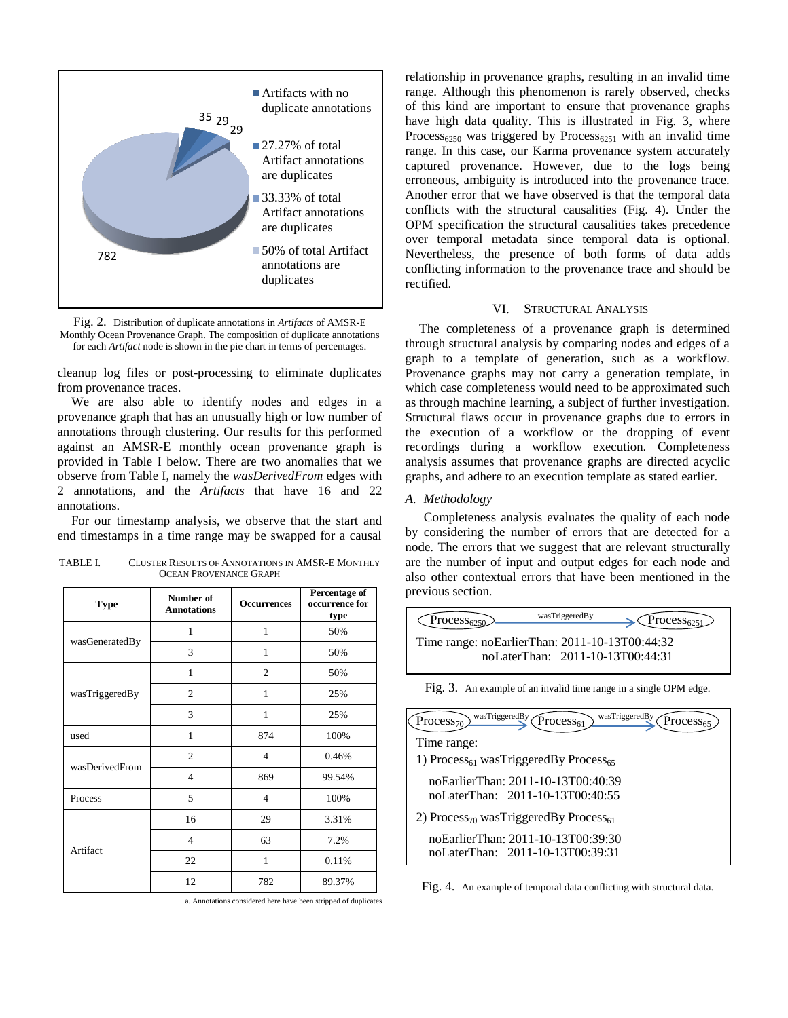

Fig. 2. Distribution of duplicate annotations in *Artifacts* of AMSR-E Monthly Ocean Provenance Graph. The composition of duplicate annotations for each *Artifact* node is shown in the pie chart in terms of percentages.

cleanup log files or post-processing to eliminate duplicates from provenance traces.

We are also able to identify nodes and edges in a provenance graph that has an unusually high or low number of annotations through clustering. Our results for this performed against an AMSR-E monthly ocean provenance graph is provided in Table I below. There are two anomalies that we observe from Table I, namely the *wasDerivedFrom* edges with 2 annotations, and the *Artifacts* that have 16 and 22 annotations.

For our timestamp analysis, we observe that the start and end timestamps in a time range may be swapped for a causal

| <b>Type</b>    | Number of<br><b>Annotations</b> | <b>Occurrences</b> | Percentage of<br>occurrence for<br>type |
|----------------|---------------------------------|--------------------|-----------------------------------------|
| wasGeneratedBy | 1                               | 1                  | 50%                                     |
|                | 3                               | 1                  | 50%                                     |
| wasTriggeredBy | 1                               | $\overline{c}$     | 50%                                     |
|                | $\overline{2}$                  | 1                  | 25%                                     |
|                | 3                               | 1                  | 25%                                     |
| used           | 1                               | 874                | 100%                                    |
| wasDerivedFrom | $\overline{c}$                  | 4                  | 0.46%                                   |
|                | $\overline{4}$                  | 869                | 99.54%                                  |
| Process        | 5                               | 4                  | 100%                                    |
| Artifact       | 16                              | 29                 | 3.31%                                   |
|                | $\overline{4}$                  | 63                 | 7.2%                                    |
|                | 22                              | $\mathbf{1}$       | 0.11%                                   |
|                | 12                              | 782                | 89.37%                                  |

TABLE I. CLUSTER RESULTS OF ANNOTATIONS IN AMSR-E MONTHLY OCEAN PROVENANCE GRAPH

a. Annotations considered here have been stripped of duplicates

relationship in provenance graphs, resulting in an invalid time range. Although this phenomenon is rarely observed, checks of this kind are important to ensure that provenance graphs have high data quality. This is illustrated in Fig. 3, where Process<sub>6250</sub> was triggered by Process<sub>6251</sub> with an invalid time range. In this case, our Karma provenance system accurately captured provenance. However, due to the logs being erroneous, ambiguity is introduced into the provenance trace. Another error that we have observed is that the temporal data conflicts with the structural causalities (Fig. 4). Under the OPM specification the structural causalities takes precedence over temporal metadata since temporal data is optional. Nevertheless, the presence of both forms of data adds conflicting information to the provenance trace and should be rectified.

# VI. STRUCTURAL ANALYSIS

The completeness of a provenance graph is determined through structural analysis by comparing nodes and edges of a graph to a template of generation, such as a workflow. Provenance graphs may not carry a generation template, in which case completeness would need to be approximated such as through machine learning, a subject of further investigation. Structural flaws occur in provenance graphs due to errors in the execution of a workflow or the dropping of event recordings during a workflow execution. Completeness analysis assumes that provenance graphs are directed acyclic graphs, and adhere to an execution template as stated earlier.

# *A. Methodology*

Completeness analysis evaluates the quality of each node by considering the number of errors that are detected for a node. The errors that we suggest that are relevant structurally are the number of input and output edges for each node and also other contextual errors that have been mentioned in the previous section.



Fig. 3. An example of an invalid time range in a single OPM edge.



Fig. 4. An example of temporal data conflicting with structural data.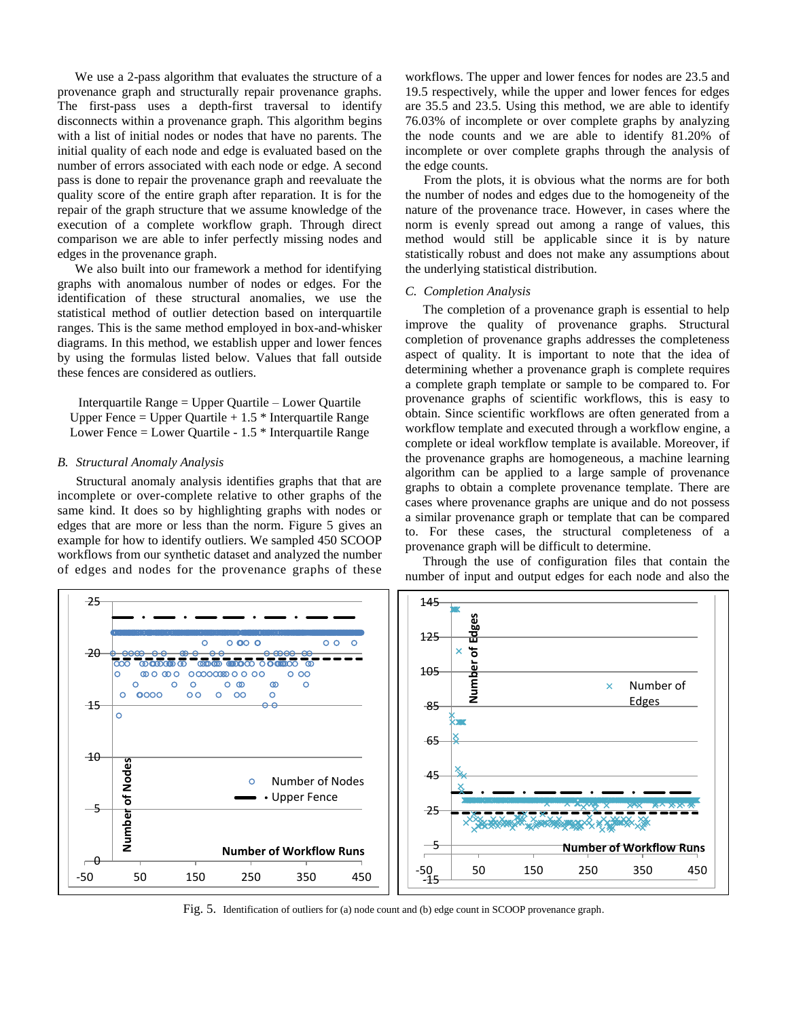We use a 2-pass algorithm that evaluates the structure of a provenance graph and structurally repair provenance graphs. The first-pass uses a depth-first traversal to identify disconnects within a provenance graph. This algorithm begins with a list of initial nodes or nodes that have no parents. The initial quality of each node and edge is evaluated based on the number of errors associated with each node or edge. A second pass is done to repair the provenance graph and reevaluate the quality score of the entire graph after reparation. It is for the repair of the graph structure that we assume knowledge of the execution of a complete workflow graph. Through direct comparison we are able to infer perfectly missing nodes and edges in the provenance graph.

We also built into our framework a method for identifying graphs with anomalous number of nodes or edges. For the identification of these structural anomalies, we use the statistical method of outlier detection based on interquartile ranges. This is the same method employed in box-and-whisker diagrams. In this method, we establish upper and lower fences by using the formulas listed below. Values that fall outside these fences are considered as outliers.

Interquartile Range = Upper Quartile – Lower Quartile Upper Fence = Upper Quartile  $+1.5$  \* Interquartile Range Lower Fence = Lower Quartile - 1.5 \* Interquartile Range

### *B. Structural Anomaly Analysis*

Structural anomaly analysis identifies graphs that that are incomplete or over-complete relative to other graphs of the same kind. It does so by highlighting graphs with nodes or edges that are more or less than the norm. Figure 5 gives an example for how to identify outliers. We sampled 450 SCOOP workflows from our synthetic dataset and analyzed the number of edges and nodes for the provenance graphs of these workflows. The upper and lower fences for nodes are 23.5 and 19.5 respectively, while the upper and lower fences for edges are 35.5 and 23.5. Using this method, we are able to identify 76.03% of incomplete or over complete graphs by analyzing the node counts and we are able to identify 81.20% of incomplete or over complete graphs through the analysis of the edge counts.

From the plots, it is obvious what the norms are for both the number of nodes and edges due to the homogeneity of the nature of the provenance trace. However, in cases where the norm is evenly spread out among a range of values, this method would still be applicable since it is by nature statistically robust and does not make any assumptions about the underlying statistical distribution.

#### *C. Completion Analysis*

The completion of a provenance graph is essential to help improve the quality of provenance graphs. Structural completion of provenance graphs addresses the completeness aspect of quality. It is important to note that the idea of determining whether a provenance graph is complete requires a complete graph template or sample to be compared to. For provenance graphs of scientific workflows, this is easy to obtain. Since scientific workflows are often generated from a workflow template and executed through a workflow engine, a complete or ideal workflow template is available. Moreover, if the provenance graphs are homogeneous, a machine learning algorithm can be applied to a large sample of provenance graphs to obtain a complete provenance template. There are cases where provenance graphs are unique and do not possess a similar provenance graph or template that can be compared to. For these cases, the structural completeness of a provenance graph will be difficult to determine.

Through the use of configuration files that contain the number of input and output edges for each node and also the



Fig. 5. Identification of outliers for (a) node count and (b) edge count in SCOOP provenance graph.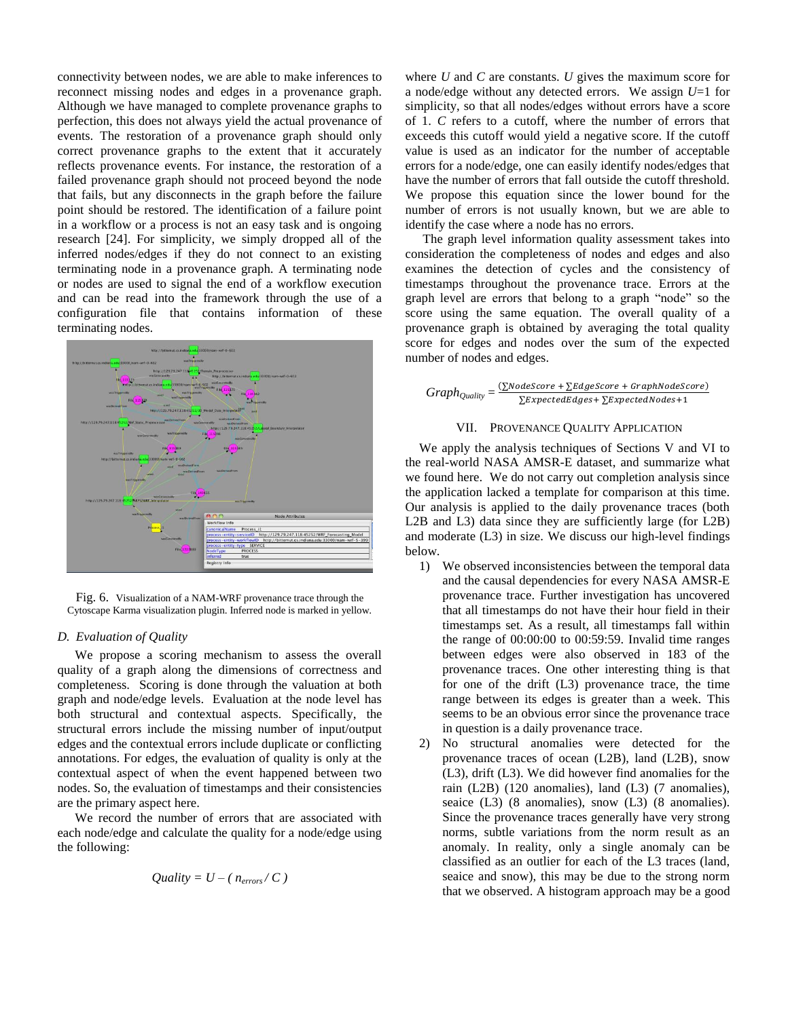connectivity between nodes, we are able to make inferences to reconnect missing nodes and edges in a provenance graph. Although we have managed to complete provenance graphs to perfection, this does not always yield the actual provenance of events. The restoration of a provenance graph should only correct provenance graphs to the extent that it accurately reflects provenance events. For instance, the restoration of a failed provenance graph should not proceed beyond the node that fails, but any disconnects in the graph before the failure point should be restored. The identification of a failure point in a workflow or a process is not an easy task and is ongoing research [24]. For simplicity, we simply dropped all of the inferred nodes/edges if they do not connect to an existing terminating node in a provenance graph. A terminating node or nodes are used to signal the end of a workflow execution and can be read into the framework through the use of a configuration file that contains information of these terminating nodes.



Fig. 6. Visualization of a NAM-WRF provenance trace through the Cytoscape Karma visualization plugin. Inferred node is marked in yellow.

### *D. Evaluation of Quality*

We propose a scoring mechanism to assess the overall quality of a graph along the dimensions of correctness and completeness. Scoring is done through the valuation at both graph and node/edge levels. Evaluation at the node level has both structural and contextual aspects. Specifically, the structural errors include the missing number of input/output edges and the contextual errors include duplicate or conflicting annotations. For edges, the evaluation of quality is only at the contextual aspect of when the event happened between two nodes. So, the evaluation of timestamps and their consistencies are the primary aspect here.

We record the number of errors that are associated with each node/edge and calculate the quality for a node/edge using the following:

*Quality* = 
$$
U - (n_{errors}/C)
$$

where *U* and *C* are constants. *U* gives the maximum score for a node/edge without any detected errors. We assign *U*=1 for simplicity, so that all nodes/edges without errors have a score of 1. *C* refers to a cutoff, where the number of errors that exceeds this cutoff would yield a negative score. If the cutoff value is used as an indicator for the number of acceptable errors for a node/edge, one can easily identify nodes/edges that have the number of errors that fall outside the cutoff threshold. We propose this equation since the lower bound for the number of errors is not usually known, but we are able to identify the case where a node has no errors.

The graph level information quality assessment takes into consideration the completeness of nodes and edges and also examines the detection of cycles and the consistency of timestamps throughout the provenance trace. Errors at the graph level are errors that belong to a graph "node" so the score using the same equation. The overall quality of a provenance graph is obtained by averaging the total quality score for edges and nodes over the sum of the expected number of nodes and edges.

$$
GraphQuality = \frac{(\Sigma Nodescore + \Sigma Edgescore + GraphNodeScore)}{\Sigma ExpectedEdges + \Sigma ExpectedNodes + 1}
$$

# VII. PROVENANCE QUALITY APPLICATION

We apply the analysis techniques of Sections V and VI to the real-world NASA AMSR-E dataset, and summarize what we found here. We do not carry out completion analysis since the application lacked a template for comparison at this time. Our analysis is applied to the daily provenance traces (both L2B and L3) data since they are sufficiently large (for L2B) and moderate (L3) in size. We discuss our high-level findings below.

- 1) We observed inconsistencies between the temporal data and the causal dependencies for every NASA AMSR-E provenance trace. Further investigation has uncovered that all timestamps do not have their hour field in their timestamps set. As a result, all timestamps fall within the range of 00:00:00 to 00:59:59. Invalid time ranges between edges were also observed in 183 of the provenance traces. One other interesting thing is that for one of the drift (L3) provenance trace, the time range between its edges is greater than a week. This seems to be an obvious error since the provenance trace in question is a daily provenance trace.
- 2) No structural anomalies were detected for the provenance traces of ocean (L2B), land (L2B), snow (L3), drift (L3). We did however find anomalies for the rain (L2B) (120 anomalies), land (L3) (7 anomalies), seaice (L3) (8 anomalies), snow (L3) (8 anomalies). Since the provenance traces generally have very strong norms, subtle variations from the norm result as an anomaly. In reality, only a single anomaly can be classified as an outlier for each of the L3 traces (land, seaice and snow), this may be due to the strong norm that we observed. A histogram approach may be a good